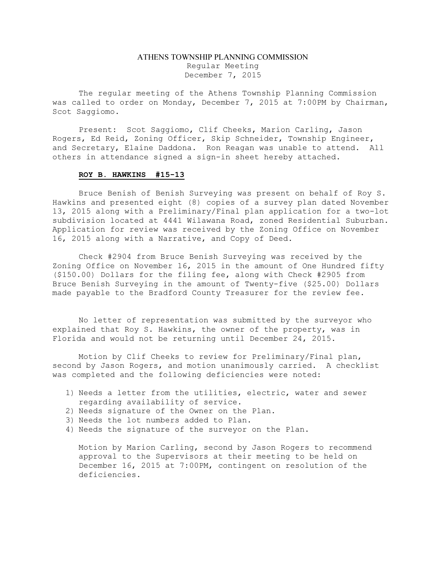### ATHENS TOWNSHIP PLANNING COMMISSION Regular Meeting December 7, 2015

The regular meeting of the Athens Township Planning Commission was called to order on Monday, December 7, 2015 at 7:00PM by Chairman, Scot Saggiomo.

Present: Scot Saggiomo, Clif Cheeks, Marion Carling, Jason Rogers, Ed Reid, Zoning Officer, Skip Schneider, Township Engineer, and Secretary, Elaine Daddona. Ron Reagan was unable to attend. All others in attendance signed a sign-in sheet hereby attached.

#### ROY B. HAWKINS #15-13

Bruce Benish of Benish Surveying was present on behalf of Roy S. Hawkins and presented eight (8) copies of a survey plan dated November 13, 2015 along with a Preliminary/Final plan application for a two-lot subdivision located at 4441 Wilawana Road, zoned Residential Suburban. Application for review was received by the Zoning Office on November 16, 2015 along with a Narrative, and Copy of Deed.

Check #2904 from Bruce Benish Surveying was received by the Zoning Office on November 16, 2015 in the amount of One Hundred fifty (\$150.00) Dollars for the filing fee, along with Check #2905 from Bruce Benish Surveying in the amount of Twenty-five (\$25.00) Dollars made payable to the Bradford County Treasurer for the review fee.

No letter of representation was submitted by the surveyor who explained that Roy S. Hawkins, the owner of the property, was in Florida and would not be returning until December 24, 2015.

Motion by Clif Cheeks to review for Preliminary/Final plan, second by Jason Rogers, and motion unanimously carried. A checklist was completed and the following deficiencies were noted:

- 1) Needs a letter from the utilities, electric, water and sewer regarding availability of service.
- 2) Needs signature of the Owner on the Plan.
- 3) Needs the lot numbers added to Plan.
- 4) Needs the signature of the surveyor on the Plan.

Motion by Marion Carling, second by Jason Rogers to recommend approval to the Supervisors at their meeting to be held on December 16, 2015 at 7:00PM, contingent on resolution of the deficiencies.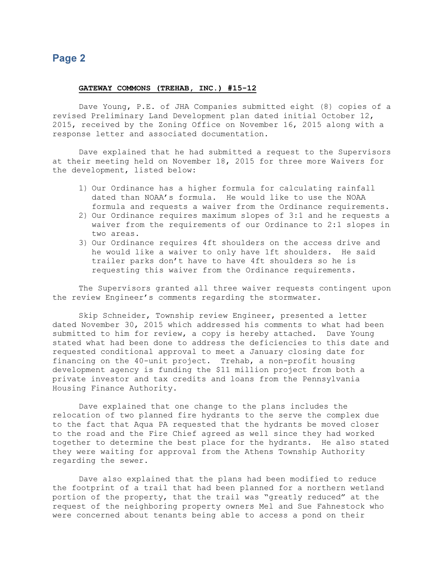## Page 2

#### GATEWAY COMMONS (TREHAB, INC.) #15-12

Dave Young, P.E. of JHA Companies submitted eight (8) copies of a revised Preliminary Land Development plan dated initial October 12, 2015, received by the Zoning Office on November 16, 2015 along with a response letter and associated documentation.

Dave explained that he had submitted a request to the Supervisors at their meeting held on November 18, 2015 for three more Waivers for the development, listed below:

- 1) Our Ordinance has a higher formula for calculating rainfall dated than NOAA's formula. He would like to use the NOAA formula and requests a waiver from the Ordinance requirements.
- 2) Our Ordinance requires maximum slopes of 3:1 and he requests a waiver from the requirements of our Ordinance to 2:1 slopes in two areas.
- 3) Our Ordinance requires 4ft shoulders on the access drive and he would like a waiver to only have 1ft shoulders. He said trailer parks don't have to have 4ft shoulders so he is requesting this waiver from the Ordinance requirements.

The Supervisors granted all three waiver requests contingent upon the review Engineer's comments regarding the stormwater.

Skip Schneider, Township review Engineer, presented a letter dated November 30, 2015 which addressed his comments to what had been submitted to him for review, a copy is hereby attached. Dave Young stated what had been done to address the deficiencies to this date and requested conditional approval to meet a January closing date for financing on the 40-unit project. Trehab, a non-profit housing development agency is funding the \$11 million project from both a private investor and tax credits and loans from the Pennsylvania Housing Finance Authority.

Dave explained that one change to the plans includes the relocation of two planned fire hydrants to the serve the complex due to the fact that Aqua PA requested that the hydrants be moved closer to the road and the Fire Chief agreed as well since they had worked together to determine the best place for the hydrants. He also stated they were waiting for approval from the Athens Township Authority regarding the sewer.

Dave also explained that the plans had been modified to reduce the footprint of a trail that had been planned for a northern wetland portion of the property, that the trail was "greatly reduced" at the request of the neighboring property owners Mel and Sue Fahnestock who were concerned about tenants being able to access a pond on their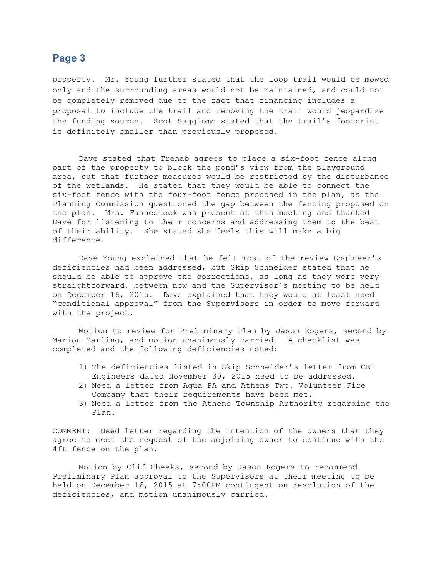## Page 3

property. Mr. Young further stated that the loop trail would be mowed only and the surrounding areas would not be maintained, and could not be completely removed due to the fact that financing includes a proposal to include the trail and removing the trail would jeopardize the funding source. Scot Saggiomo stated that the trail's footprint is definitely smaller than previously proposed.

Dave stated that Trehab agrees to place a six-foot fence along part of the property to block the pond's view from the playground area, but that further measures would be restricted by the disturbance of the wetlands. He stated that they would be able to connect the six-foot fence with the four-foot fence proposed in the plan, as the Planning Commission questioned the gap between the fencing proposed on the plan. Mrs. Fahnestock was present at this meeting and thanked Dave for listening to their concerns and addressing them to the best of their ability. She stated she feels this will make a big difference.

Dave Young explained that he felt most of the review Engineer's deficiencies had been addressed, but Skip Schneider stated that he should be able to approve the corrections, as long as they were very straightforward, between now and the Supervisor's meeting to be held on December 16, 2015. Dave explained that they would at least need "conditional approval" from the Supervisors in order to move forward with the project.

Motion to review for Preliminary Plan by Jason Rogers, second by Marion Carling, and motion unanimously carried. A checklist was completed and the following deficiencies noted:

- 1) The deficiencies listed in Skip Schneider's letter from CEI Engineers dated November 30, 2015 need to be addressed.
- 2) Need a letter from Aqua PA and Athens Twp. Volunteer Fire Company that their requirements have been met.
- 3) Need a letter from the Athens Township Authority regarding the Plan.

COMMENT: Need letter regarding the intention of the owners that they agree to meet the request of the adjoining owner to continue with the 4ft fence on the plan.

 Motion by Clif Cheeks, second by Jason Rogers to recommend Preliminary Plan approval to the Supervisors at their meeting to be held on December 16, 2015 at 7:00PM contingent on resolution of the deficiencies, and motion unanimously carried.